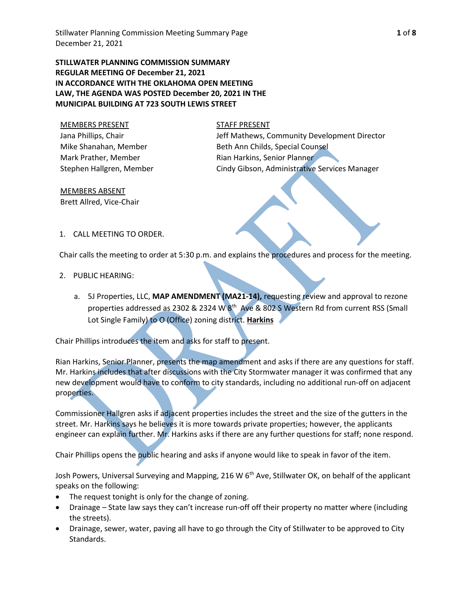Stillwater Planning Commission Meeting Summary Page **1** of **8** December 21, 2021

**STILLWATER PLANNING COMMISSION SUMMARY REGULAR MEETING OF December 21, 2021 IN ACCORDANCE WITH THE OKLAHOMA OPEN MEETING LAW, THE AGENDA WAS POSTED December 20, 2021 IN THE MUNICIPAL BUILDING AT 723 SOUTH LEWIS STREET**

MEMBERS PRESENT STAFF PRESENT Jana Phillips, Chair Mike Shanahan, Member Mark Prather, Member Stephen Hallgren, Member

Jeff Mathews, Community Development Director Beth Ann Childs, Special Counsel Rian Harkins, Senior Planner Cindy Gibson, Administrative Services Manager

MEMBERS ABSENT Brett Allred, Vice-Chair

1. CALL MEETING TO ORDER.

Chair calls the meeting to order at 5:30 p.m. and explains the procedures and process for the meeting.

- 2. PUBLIC HEARING:
	- a. 5J Properties, LLC, **MAP AMENDMENT (MA21-14),** requesting review and approval to rezone properties addressed as 2302 & 2324 W 8<sup>th</sup> Ave & 802 S Western Rd from current RSS (Small Lot Single Family) to O (Office) zoning district. **Harkins**

Chair Phillips introduces the item and asks for staff to present.

Rian Harkins, Senior Planner, presents the map amendment and asks if there are any questions for staff. Mr. Harkins includes that after discussions with the City Stormwater manager it was confirmed that any new development would have to conform to city standards, including no additional run-off on adjacent properties.

Commissioner Hallgren asks if adjacent properties includes the street and the size of the gutters in the street. Mr. Harkins says he believes it is more towards private properties; however, the applicants engineer can explain further. Mr. Harkins asks if there are any further questions for staff; none respond.

Chair Phillips opens the public hearing and asks if anyone would like to speak in favor of the item.

Josh Powers, Universal Surveying and Mapping, 216 W 6<sup>th</sup> Ave, Stillwater OK, on behalf of the applicant speaks on the following:

- The request tonight is only for the change of zoning.
- Drainage State law says they can't increase run-off off their property no matter where (including the streets).
- Drainage, sewer, water, paving all have to go through the City of Stillwater to be approved to City Standards.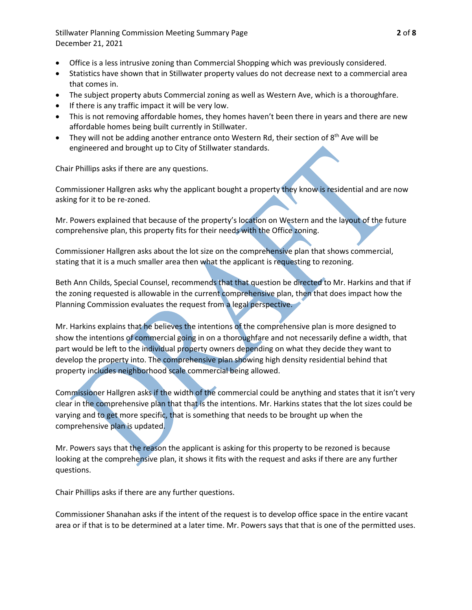Stillwater Planning Commission Meeting Summary Page **2** of **8** December 21, 2021

- Office is a less intrusive zoning than Commercial Shopping which was previously considered.
- Statistics have shown that in Stillwater property values do not decrease next to a commercial area that comes in.
- The subject property abuts Commercial zoning as well as Western Ave, which is a thoroughfare.
- If there is any traffic impact it will be very low.
- This is not removing affordable homes, they homes haven't been there in years and there are new affordable homes being built currently in Stillwater.
- They will not be adding another entrance onto Western Rd, their section of  $8<sup>th</sup>$  Ave will be engineered and brought up to City of Stillwater standards.

Chair Phillips asks if there are any questions.

Commissioner Hallgren asks why the applicant bought a property they know is residential and are now asking for it to be re-zoned.

Mr. Powers explained that because of the property's location on Western and the layout of the future comprehensive plan, this property fits for their needs with the Office zoning.

Commissioner Hallgren asks about the lot size on the comprehensive plan that shows commercial, stating that it is a much smaller area then what the applicant is requesting to rezoning.

Beth Ann Childs, Special Counsel, recommends that that question be directed to Mr. Harkins and that if the zoning requested is allowable in the current comprehensive plan, then that does impact how the Planning Commission evaluates the request from a legal perspective.

Mr. Harkins explains that he believes the intentions of the comprehensive plan is more designed to show the intentions of commercial going in on a thoroughfare and not necessarily define a width, that part would be left to the individual property owners depending on what they decide they want to develop the property into. The comprehensive plan showing high density residential behind that property includes neighborhood scale commercial being allowed.

Commissioner Hallgren asks if the width of the commercial could be anything and states that it isn't very clear in the comprehensive plan that that is the intentions. Mr. Harkins states that the lot sizes could be varying and to get more specific, that is something that needs to be brought up when the comprehensive plan is updated.

Mr. Powers says that the reason the applicant is asking for this property to be rezoned is because looking at the comprehensive plan, it shows it fits with the request and asks if there are any further questions.

Chair Phillips asks if there are any further questions.

Commissioner Shanahan asks if the intent of the request is to develop office space in the entire vacant area or if that is to be determined at a later time. Mr. Powers says that that is one of the permitted uses.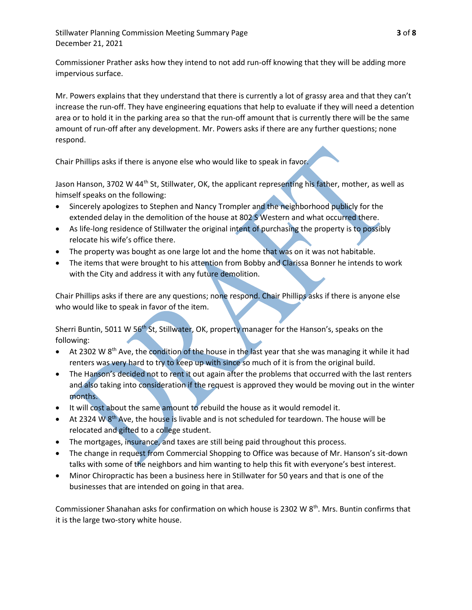Stillwater Planning Commission Meeting Summary Page **3** of **8** December 21, 2021

Commissioner Prather asks how they intend to not add run-off knowing that they will be adding more impervious surface.

Mr. Powers explains that they understand that there is currently a lot of grassy area and that they can't increase the run-off. They have engineering equations that help to evaluate if they will need a detention area or to hold it in the parking area so that the run-off amount that is currently there will be the same amount of run-off after any development. Mr. Powers asks if there are any further questions; none respond.

Chair Phillips asks if there is anyone else who would like to speak in favor.

Jason Hanson, 3702 W 44<sup>th</sup> St, Stillwater, OK, the applicant representing his father, mother, as well as himself speaks on the following:

- Sincerely apologizes to Stephen and Nancy Trompler and the neighborhood publicly for the extended delay in the demolition of the house at 802 S Western and what occurred there.
- As life-long residence of Stillwater the original intent of purchasing the property is to possibly relocate his wife's office there.
- The property was bought as one large lot and the home that was on it was not habitable.
- The items that were brought to his attention from Bobby and Clarissa Bonner he intends to work with the City and address it with any future demolition.

Chair Phillips asks if there are any questions; none respond. Chair Phillips asks if there is anyone else who would like to speak in favor of the item.

Sherri Buntin, 5011 W 56<sup>th</sup> St, Stillwater, OK, property manager for the Hanson's, speaks on the following:

- At 2302 W 8<sup>th</sup> Ave, the condition of the house in the last year that she was managing it while it had renters was very hard to try to keep up with since so much of it is from the original build.
- The Hanson's decided not to rent it out again after the problems that occurred with the last renters and also taking into consideration if the request is approved they would be moving out in the winter months.
- It will cost about the same amount to rebuild the house as it would remodel it.
- At 2324 W 8<sup>th</sup> Ave, the house is livable and is not scheduled for teardown. The house will be relocated and gifted to a college student.
- The mortgages, insurance, and taxes are still being paid throughout this process.
- The change in request from Commercial Shopping to Office was because of Mr. Hanson's sit-down talks with some of the neighbors and him wanting to help this fit with everyone's best interest.
- Minor Chiropractic has been a business here in Stillwater for 50 years and that is one of the businesses that are intended on going in that area.

Commissioner Shanahan asks for confirmation on which house is 2302 W 8<sup>th</sup>. Mrs. Buntin confirms that it is the large two-story white house.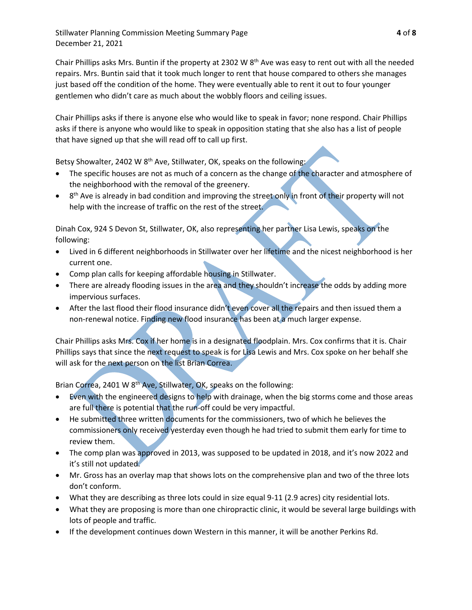Stillwater Planning Commission Meeting Summary Page **4** of **8** December 21, 2021

Chair Phillips asks Mrs. Buntin if the property at 2302 W  $8<sup>th</sup>$  Ave was easy to rent out with all the needed repairs. Mrs. Buntin said that it took much longer to rent that house compared to others she manages just based off the condition of the home. They were eventually able to rent it out to four younger gentlemen who didn't care as much about the wobbly floors and ceiling issues.

Chair Phillips asks if there is anyone else who would like to speak in favor; none respond. Chair Phillips asks if there is anyone who would like to speak in opposition stating that she also has a list of people that have signed up that she will read off to call up first.

Betsy Showalter, 2402 W  $8<sup>th</sup>$  Ave, Stillwater, OK, speaks on the following:

- The specific houses are not as much of a concern as the change of the character and atmosphere of the neighborhood with the removal of the greenery.
- 8<sup>th</sup> Ave is already in bad condition and improving the street only in front of their property will not help with the increase of traffic on the rest of the street.

Dinah Cox, 924 S Devon St, Stillwater, OK, also representing her partner Lisa Lewis, speaks on the following:

- Lived in 6 different neighborhoods in Stillwater over her lifetime and the nicest neighborhood is her current one.
- Comp plan calls for keeping affordable housing in Stillwater.
- There are already flooding issues in the area and they shouldn't increase the odds by adding more impervious surfaces.
- After the last flood their flood insurance didn't even cover all the repairs and then issued them a non-renewal notice. Finding new flood insurance has been at a much larger expense.

Chair Phillips asks Mrs. Cox if her home is in a designated floodplain. Mrs. Cox confirms that it is. Chair Phillips says that since the next request to speak is for Lisa Lewis and Mrs. Cox spoke on her behalf she will ask for the next person on the list Brian Correa.

Brian Correa, 2401 W 8<sup>th</sup> Ave, Stillwater, OK, speaks on the following:

- Even with the engineered designs to help with drainage, when the big storms come and those areas are full there is potential that the run-off could be very impactful.
- He submitted three written documents for the commissioners, two of which he believes the commissioners only received yesterday even though he had tried to submit them early for time to review them.
- The comp plan was approved in 2013, was supposed to be updated in 2018, and it's now 2022 and it's still not updated.
- Mr. Gross has an overlay map that shows lots on the comprehensive plan and two of the three lots don't conform.
- What they are describing as three lots could in size equal 9-11 (2.9 acres) city residential lots.
- What they are proposing is more than one chiropractic clinic, it would be several large buildings with lots of people and traffic.
- If the development continues down Western in this manner, it will be another Perkins Rd.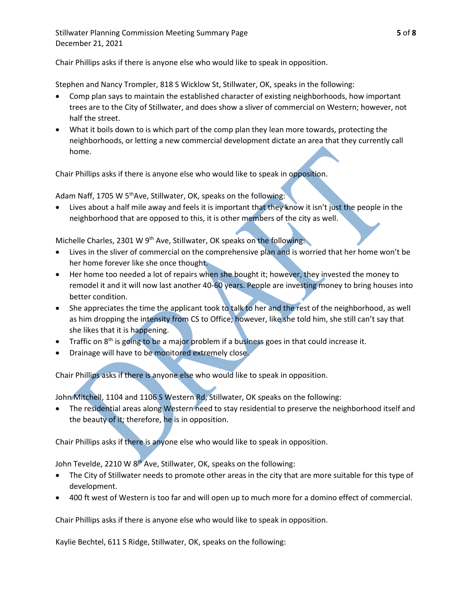Chair Phillips asks if there is anyone else who would like to speak in opposition.

Stephen and Nancy Trompler, 818 S Wicklow St, Stillwater, OK, speaks in the following:

- Comp plan says to maintain the established character of existing neighborhoods, how important trees are to the City of Stillwater, and does show a sliver of commercial on Western; however, not half the street.
- What it boils down to is which part of the comp plan they lean more towards, protecting the neighborhoods, or letting a new commercial development dictate an area that they currently call home.

Chair Phillips asks if there is anyone else who would like to speak in opposition.

Adam Naff, 1705 W  $5<sup>th</sup>$  Ave, Stillwater, OK, speaks on the following:

 Lives about a half mile away and feels it is important that they know it isn't just the people in the neighborhood that are opposed to this, it is other members of the city as well.

Michelle Charles, 2301 W 9<sup>th</sup> Ave, Stillwater, OK speaks on the following:

- Lives in the sliver of commercial on the comprehensive plan and is worried that her home won't be her home forever like she once thought.
- Her home too needed a lot of repairs when she bought it; however, they invested the money to remodel it and it will now last another 40-60 years. People are investing money to bring houses into better condition.
- She appreciates the time the applicant took to talk to her and the rest of the neighborhood, as well as him dropping the intensity from CS to Office; however, like she told him, she still can't say that she likes that it is happening.
- Traffic on  $8<sup>th</sup>$  is going to be a major problem if a business goes in that could increase it.
- Drainage will have to be monitored extremely close.

Chair Phillips asks if there is anyone else who would like to speak in opposition.

John Mitchell, 1104 and 1106 S Western Rd, Stillwater, OK speaks on the following:

 The residential areas along Western need to stay residential to preserve the neighborhood itself and the beauty of it; therefore, he is in opposition.

Chair Phillips asks if there is anyone else who would like to speak in opposition.

John Tevelde, 2210 W 8<sup>th</sup> Ave, Stillwater, OK, speaks on the following:

- The City of Stillwater needs to promote other areas in the city that are more suitable for this type of development.
- 400 ft west of Western is too far and will open up to much more for a domino effect of commercial.

Chair Phillips asks if there is anyone else who would like to speak in opposition.

Kaylie Bechtel, 611 S Ridge, Stillwater, OK, speaks on the following: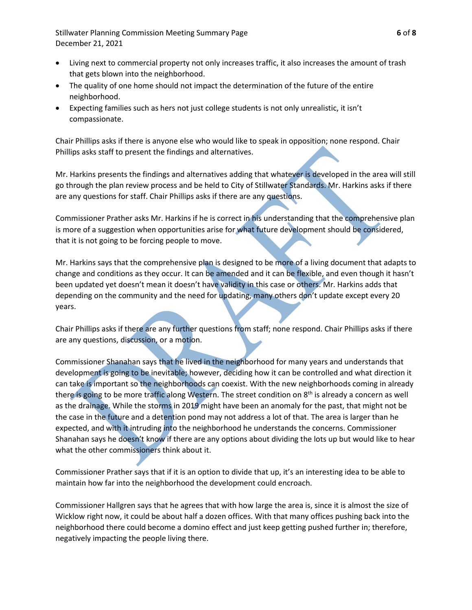Stillwater Planning Commission Meeting Summary Page **6** of **8** December 21, 2021

- Living next to commercial property not only increases traffic, it also increases the amount of trash that gets blown into the neighborhood.
- The quality of one home should not impact the determination of the future of the entire neighborhood.
- Expecting families such as hers not just college students is not only unrealistic, it isn't compassionate.

Chair Phillips asks if there is anyone else who would like to speak in opposition; none respond. Chair Phillips asks staff to present the findings and alternatives.

Mr. Harkins presents the findings and alternatives adding that whatever is developed in the area will still go through the plan review process and be held to City of Stillwater Standards. Mr. Harkins asks if there are any questions for staff. Chair Phillips asks if there are any questions.

Commissioner Prather asks Mr. Harkins if he is correct in his understanding that the comprehensive plan is more of a suggestion when opportunities arise for what future development should be considered, that it is not going to be forcing people to move.

Mr. Harkins says that the comprehensive plan is designed to be more of a living document that adapts to change and conditions as they occur. It can be amended and it can be flexible, and even though it hasn't been updated yet doesn't mean it doesn't have validity in this case or others. Mr. Harkins adds that depending on the community and the need for updating, many others don't update except every 20 years.

Chair Phillips asks if there are any further questions from staff; none respond. Chair Phillips asks if there are any questions, discussion, or a motion.

Commissioner Shanahan says that he lived in the neighborhood for many years and understands that development is going to be inevitable; however, deciding how it can be controlled and what direction it can take is important so the neighborhoods can coexist. With the new neighborhoods coming in already there is going to be more traffic along Western. The street condition on  $8<sup>th</sup>$  is already a concern as well as the drainage. While the storms in 2019 might have been an anomaly for the past, that might not be the case in the future and a detention pond may not address a lot of that. The area is larger than he expected, and with it intruding into the neighborhood he understands the concerns. Commissioner Shanahan says he doesn't know if there are any options about dividing the lots up but would like to hear what the other commissioners think about it.

Commissioner Prather says that if it is an option to divide that up, it's an interesting idea to be able to maintain how far into the neighborhood the development could encroach.

Commissioner Hallgren says that he agrees that with how large the area is, since it is almost the size of Wicklow right now, it could be about half a dozen offices. With that many offices pushing back into the neighborhood there could become a domino effect and just keep getting pushed further in; therefore, negatively impacting the people living there.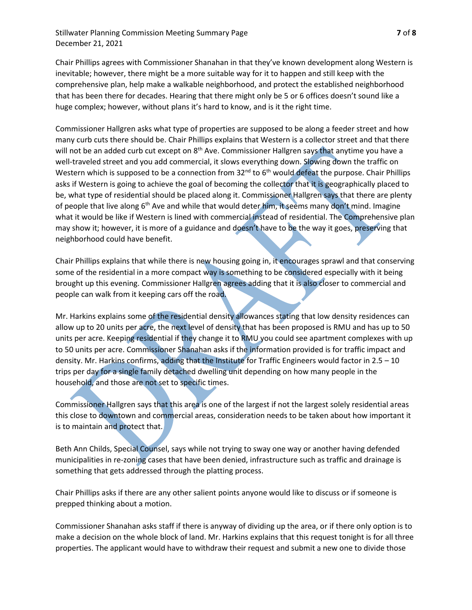## Stillwater Planning Commission Meeting Summary Page **7** of **8** December 21, 2021

Chair Phillips agrees with Commissioner Shanahan in that they've known development along Western is inevitable; however, there might be a more suitable way for it to happen and still keep with the comprehensive plan, help make a walkable neighborhood, and protect the established neighborhood that has been there for decades. Hearing that there might only be 5 or 6 offices doesn't sound like a huge complex; however, without plans it's hard to know, and is it the right time.

Commissioner Hallgren asks what type of properties are supposed to be along a feeder street and how many curb cuts there should be. Chair Phillips explains that Western is a collector street and that there will not be an added curb cut except on 8<sup>th</sup> Ave. Commissioner Hallgren says that anytime you have a well-traveled street and you add commercial, it slows everything down. Slowing down the traffic on Western which is supposed to be a connection from  $32^{nd}$  to  $6^{th}$  would defeat the purpose. Chair Phillips asks if Western is going to achieve the goal of becoming the collector that it is geographically placed to be, what type of residential should be placed along it. Commissioner Hallgren says that there are plenty of people that live along 6<sup>th</sup> Ave and while that would deter him, it seems many don't mind. Imagine what it would be like if Western is lined with commercial instead of residential. The Comprehensive plan may show it; however, it is more of a guidance and doesn't have to be the way it goes, preserving that neighborhood could have benefit.

Chair Phillips explains that while there is new housing going in, it encourages sprawl and that conserving some of the residential in a more compact way is something to be considered especially with it being brought up this evening. Commissioner Hallgren agrees adding that it is also closer to commercial and people can walk from it keeping cars off the road.

Mr. Harkins explains some of the residential density allowances stating that low density residences can allow up to 20 units per acre, the next level of density that has been proposed is RMU and has up to 50 units per acre. Keeping residential if they change it to RMU you could see apartment complexes with up to 50 units per acre. Commissioner Shanahan asks if the information provided is for traffic impact and density. Mr. Harkins confirms, adding that the Institute for Traffic Engineers would factor in 2.5 – 10 trips per day for a single family detached dwelling unit depending on how many people in the household, and those are not set to specific times.

Commissioner Hallgren says that this area is one of the largest if not the largest solely residential areas this close to downtown and commercial areas, consideration needs to be taken about how important it is to maintain and protect that.

Beth Ann Childs, Special Counsel, says while not trying to sway one way or another having defended municipalities in re-zoning cases that have been denied, infrastructure such as traffic and drainage is something that gets addressed through the platting process.

Chair Phillips asks if there are any other salient points anyone would like to discuss or if someone is prepped thinking about a motion.

Commissioner Shanahan asks staff if there is anyway of dividing up the area, or if there only option is to make a decision on the whole block of land. Mr. Harkins explains that this request tonight is for all three properties. The applicant would have to withdraw their request and submit a new one to divide those